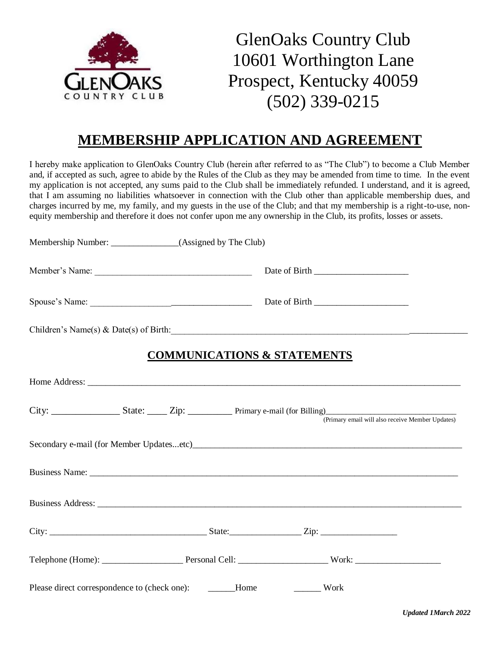

GlenOaks Country Club 10601 Worthington Lane Prospect, Kentucky 40059 (502) 339-0215

# **MEMBERSHIP APPLICATION AND AGREEMENT**

I hereby make application to GlenOaks Country Club (herein after referred to as "The Club") to become a Club Member and, if accepted as such, agree to abide by the Rules of the Club as they may be amended from time to time. In the event my application is not accepted, any sums paid to the Club shall be immediately refunded. I understand, and it is agreed, that I am assuming no liabilities whatsoever in connection with the Club other than applicable membership dues, and charges incurred by me, my family, and my guests in the use of the Club; and that my membership is a right-to-use, nonequity membership and therefore it does not confer upon me any ownership in the Club, its profits, losses or assets.

| Membership Number: ________________(Assigned by The Club) |                                        |      |  |
|-----------------------------------------------------------|----------------------------------------|------|--|
|                                                           |                                        |      |  |
|                                                           |                                        |      |  |
| Children's Name(s) & Date(s) of Birth:                    |                                        |      |  |
|                                                           | <b>COMMUNICATIONS &amp; STATEMENTS</b> |      |  |
|                                                           |                                        |      |  |
|                                                           |                                        |      |  |
| Secondary e-mail (for Member Updatesetc)                  |                                        |      |  |
|                                                           |                                        |      |  |
|                                                           |                                        |      |  |
|                                                           |                                        |      |  |
|                                                           |                                        |      |  |
| Please direct correspondence to (check one): _______Home  |                                        | Work |  |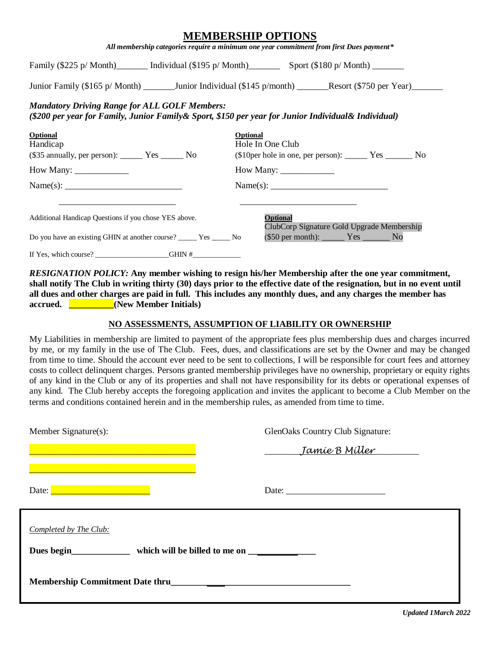|                                                                                                                                                             | MEMBERSHIP OP HONS<br>All membership categories require a minimum one year commitment from first Dues payment*                                         |
|-------------------------------------------------------------------------------------------------------------------------------------------------------------|--------------------------------------------------------------------------------------------------------------------------------------------------------|
|                                                                                                                                                             | Family $(\$225 \text{ p/Month})$ Individual $(\$195 \text{ p/Month})$ Sport $(\$180 \text{ p/Month})$ ______                                           |
|                                                                                                                                                             | Junior Family (\$165 p/ Month) __________Junior Individual (\$145 p/month) ________Resort (\$750 per Year)                                             |
| <b>Mandatory Driving Range for ALL GOLF Members:</b><br>(\$200 per year for Family, Junior Family& Sport, \$150 per year for Junior Individual& Individual) |                                                                                                                                                        |
| <b>Optional</b><br>Handicap<br>$($35$ annually, per person):$ Yes ________ No                                                                               | Optional<br>Hole In One Club                                                                                                                           |
| How Many: $\frac{1}{\sqrt{1-\frac{1}{2}} \cdot \frac{1}{2}}$                                                                                                | How Many: $\_\_\_\_\_\_\_\_\_\_\_\_\_\_\_\_\_$                                                                                                         |
| Name(s):                                                                                                                                                    | Name(s):                                                                                                                                               |
| Additional Handicap Questions if you chose YES above.<br>Do you have an existing GHIN at another course? ______ Yes ______ No                               | Optional<br>ClubCorp Signature Gold Upgrade Membership<br>$($50 \text{ per month})$ : $\_\_\_\_\_\_\_\_\_\_\_\_\_\_\_\_\_\_\_\_\_\_\_\_\_\_\_\_\_\_\_$ |
| If Yes, which course? $GHMN #$                                                                                                                              |                                                                                                                                                        |

**MEDIATIONS** 

*RESIGNATION POLICY:* **Any member wishing to resign his/her Membership after the one year commitment, shall notify The Club in writing thirty (30) days prior to the effective date of the resignation, but in no event until all dues and other charges are paid in full. This includes any monthly dues, and any charges the member has accrued. \_\_\_\_\_\_\_\_\_\_(New Member Initials)**

### **NO ASSESSMENTS, ASSUMPTION OF LIABILITY OR OWNERSHIP**

My Liabilities in membership are limited to payment of the appropriate fees plus membership dues and charges incurred by me, or my family in the use of The Club. Fees, dues, and classifications are set by the Owner and may be changed from time to time. Should the account ever need to be sent to collections, I will be responsible for court fees and attorney costs to collect delinquent charges. Persons granted membership privileges have no ownership, proprietary or equity rights of any kind in the Club or any of its properties and shall not have responsibility for its debts or operational expenses of any kind. The Club hereby accepts the foregoing application and invites the applicant to become a Club Member on the terms and conditions contained herein and in the membership rules, as amended from time to time.

| Member Signature(s):                                             | GlenOaks Country Club Signature: |
|------------------------------------------------------------------|----------------------------------|
|                                                                  | Jamíe B Míller                   |
| <u> 1989 - Jan Samuel Barristo, amerikansk politik (d. 1989)</u> |                                  |
|                                                                  |                                  |
| Completed by The Club:                                           |                                  |
| Dues begin which will be billed to me on                         |                                  |
| Membership Commitment Date thru                                  |                                  |